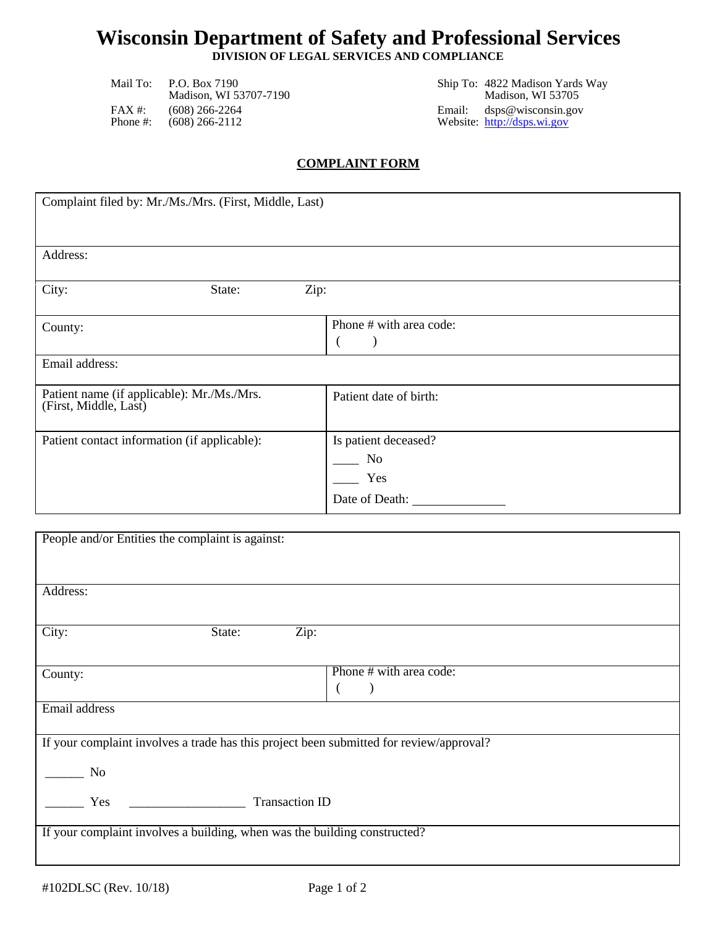## **Wisconsin Department of Safety and Professional Services**

**DIVISION OF LEGAL SERVICES AND COMPLIANCE**

Madison, WI 53707-7190 FAX #: (608) 266-2264 Email: dsps@wisconsin.gov<br>
Phone #: (608) 266-2112 Website: http://dsps.wi.gov

Mail To: P.O. Box 7190 Ship To: 4822 Madison Yards Way Website: [http://dsps.wi.gov](http://dsps.wi.gov/)

#### **COMPLAINT FORM**

| Complaint filed by: Mr./Ms./Mrs. (First, Middle, Last)              |                         |  |  |  |  |
|---------------------------------------------------------------------|-------------------------|--|--|--|--|
|                                                                     |                         |  |  |  |  |
| Address:                                                            |                         |  |  |  |  |
| City:<br>Zip:<br>State:                                             |                         |  |  |  |  |
| County:                                                             | Phone # with area code: |  |  |  |  |
| Email address:                                                      |                         |  |  |  |  |
| Patient name (if applicable): Mr./Ms./Mrs.<br>(First, Middle, Last) | Patient date of birth:  |  |  |  |  |
| Patient contact information (if applicable):                        | Is patient deceased?    |  |  |  |  |
|                                                                     | No                      |  |  |  |  |
|                                                                     | Yes                     |  |  |  |  |
|                                                                     | Date of Death:          |  |  |  |  |

| People and/or Entities the complaint is against:                                        |                         |
|-----------------------------------------------------------------------------------------|-------------------------|
|                                                                                         |                         |
|                                                                                         |                         |
| Address:                                                                                |                         |
|                                                                                         |                         |
| Zip:<br>City:<br>State:                                                                 |                         |
|                                                                                         |                         |
| County:                                                                                 | Phone # with area code: |
|                                                                                         |                         |
| Email address                                                                           |                         |
|                                                                                         |                         |
| If your complaint involves a trade has this project been submitted for review/approval? |                         |
| N <sub>o</sub>                                                                          |                         |
|                                                                                         |                         |
| <b>Transaction ID</b><br>Yes                                                            |                         |
|                                                                                         |                         |
| If your complaint involves a building, when was the building constructed?               |                         |
|                                                                                         |                         |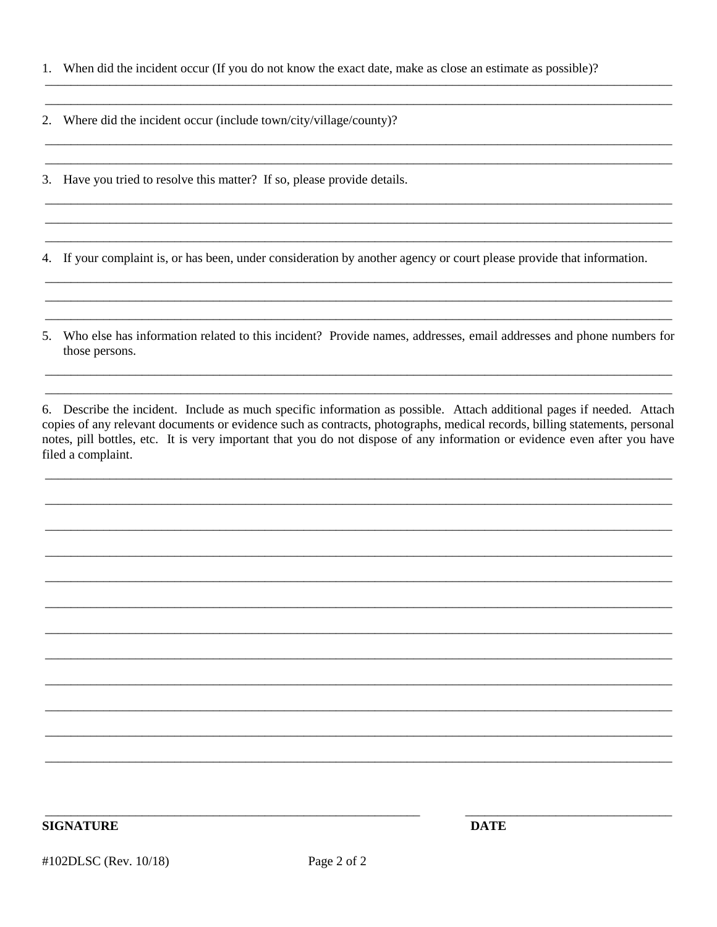|  | 1. When did the incident occur (If you do not know the exact date, make as close an estimate as possible)? |  |  |  |  |  |
|--|------------------------------------------------------------------------------------------------------------|--|--|--|--|--|
|--|------------------------------------------------------------------------------------------------------------|--|--|--|--|--|

2. Where did the incident occur (include town/city/village/county)?

3. Have you tried to resolve this matter? If so, please provide details.

4. If your complaint is, or has been, under consideration by another agency or court please provide that information.

5. Who else has information related to this incident? Provide names, addresses, email addresses and phone numbers for those persons.

6. Describe the incident. Include as much specific information as possible. Attach additional pages if needed. Attach copies of any relevant documents or evidence such as contracts, photographs, medical records, billing statements, personal notes, pill bottles, etc. It is very important that you do not dispose of any information or evidence even after you have filed a complaint.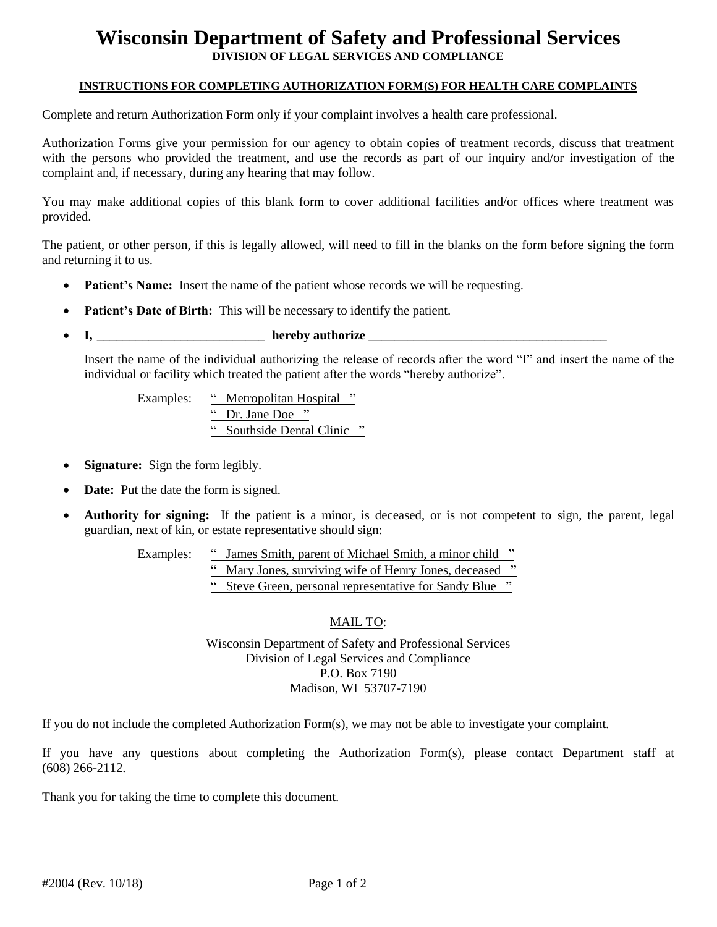# **Wisconsin Department of Safety and Professional Services**

**DIVISION OF LEGAL SERVICES AND COMPLIANCE**

#### **INSTRUCTIONS FOR COMPLETING AUTHORIZATION FORM(S) FOR HEALTH CARE COMPLAINTS**

Complete and return Authorization Form only if your complaint involves a health care professional.

Authorization Forms give your permission for our agency to obtain copies of treatment records, discuss that treatment with the persons who provided the treatment, and use the records as part of our inquiry and/or investigation of the complaint and, if necessary, during any hearing that may follow.

You may make additional copies of this blank form to cover additional facilities and/or offices where treatment was provided.

The patient, or other person, if this is legally allowed, will need to fill in the blanks on the form before signing the form and returning it to us.

- **Patient's Name:** Insert the name of the patient whose records we will be requesting.
- **Patient's Date of Birth:** This will be necessary to identify the patient.
- **I,** \_\_\_\_\_\_\_\_\_\_\_\_\_\_\_\_\_\_\_\_\_\_\_\_\_\_ **hereby authorize** \_\_\_\_\_\_\_\_\_\_\_\_\_\_\_\_\_\_\_\_\_\_\_\_\_\_\_\_\_\_\_\_\_\_\_\_\_

Insert the name of the individual authorizing the release of records after the word "I" and insert the name of the individual or facility which treated the patient after the words "hereby authorize".

Examples: "Metropolitan Hospital" " Dr. Jane Doe " " Southside Dental Clinic "

- **Signature:** Sign the form legibly.
- **Date:** Put the date the form is signed.
- **Authority for signing:** If the patient is a minor, is deceased, or is not competent to sign, the parent, legal guardian, next of kin, or estate representative should sign:

Examples: " James Smith, parent of Michael Smith, a minor child " " Mary Jones, surviving wife of Henry Jones, deceased " " Steve Green, personal representative for Sandy Blue "

#### MAIL TO:

Wisconsin Department of Safety and Professional Services Division of Legal Services and Compliance P.O. Box 7190 Madison, WI 53707-7190

If you do not include the completed Authorization Form(s), we may not be able to investigate your complaint.

If you have any questions about completing the Authorization Form(s), please contact Department staff at (608) 266-2112.

Thank you for taking the time to complete this document.